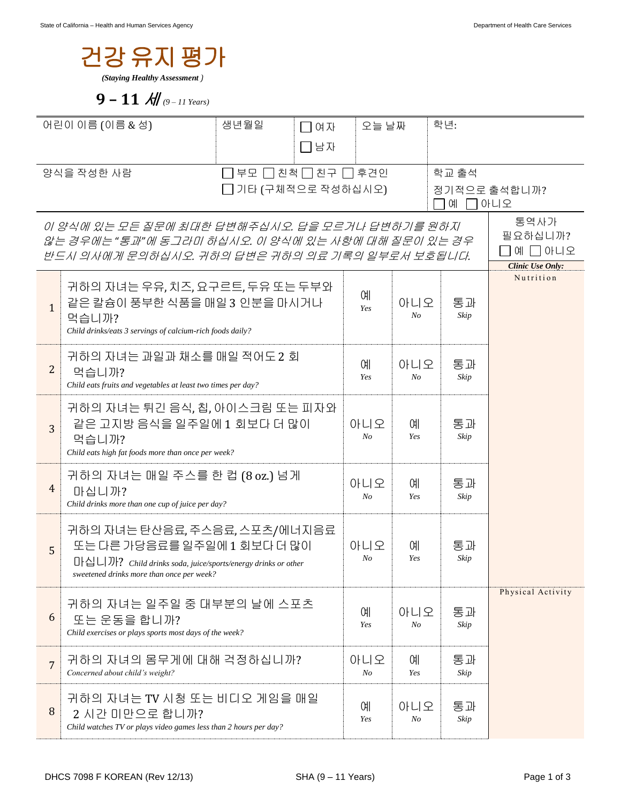

**9 – 11** 세 *(9 – 11 Years)*

| 어린이 이름 (이름 & 성)                                                                                                  |                                                                                                                                                                           | 생년월일<br>□여자 |           | 오늘 날짜             |                       | 학년:        |                   |
|------------------------------------------------------------------------------------------------------------------|---------------------------------------------------------------------------------------------------------------------------------------------------------------------------|-------------|-----------|-------------------|-----------------------|------------|-------------------|
|                                                                                                                  |                                                                                                                                                                           |             | □남자       |                   |                       |            |                   |
| 양식을 작성한 사람<br>̄ 부모  ̄ 친척  ̄ 친구  ̄ 후견인                                                                            |                                                                                                                                                                           |             |           |                   | 학교 출석                 |            |                   |
| 기타 (구체적으로 작성하십시오)                                                                                                |                                                                                                                                                                           |             |           | 정기적으로 출석합니까?<br>예 |                       |            | ㄱ아니오              |
| 이 양식에 있는 모든 질문에 최대한 답변해주십시오. 답을 모르거나 답변하기를 원하지                                                                   |                                                                                                                                                                           |             |           |                   |                       |            | 통역사가<br>필요하십니까?   |
| 않는 경우에는 "통과"에 동그라미 하십시오. 이 양식에 있는 사항에 대해 질문이 있는 경우<br>예 □ 아니오<br>반드시 의사에게 문의하십시오. 귀하의 답변은 귀하의 의료 기록의 일부로서 보호됩니다. |                                                                                                                                                                           |             |           |                   |                       |            | Clinic Use Only:  |
| $\mathbf{1}$                                                                                                     | 귀하의 자녀는 우유,치즈,요구르트,두유 또는 두부와<br>같은 칼슘이 풍부한 식품을 매일 3 인분을 마시거나<br>먹습니까?<br>Child drinks/eats 3 servings of calcium-rich foods daily?                                        |             |           | 예<br>Yes          | 아니오<br>N <sub>O</sub> | 통과<br>Skip | Nutrition         |
| $\overline{2}$                                                                                                   | 귀하의 자녀는 과일과 채소를 매일 적어도 2 회<br>먹습니까?<br>Child eats fruits and vegetables at least two times per day?                                                                       |             |           |                   | 아니오<br>N <sub>O</sub> | 통과<br>Skip |                   |
| 3                                                                                                                | 귀하의 자녀는 튀긴 음식, 칩, 아이스크림 또는 피자와<br>같은 고지방 음식을 일주일에 1 회보다 더 많이<br>먹습니까?<br>Child eats high fat foods more than once per week?                                               |             |           |                   | 예<br>Yes              | 통과<br>Skip |                   |
| 4                                                                                                                | 귀하의 자녀는 매일 주스를 한 컵 (8 oz.) 넘게<br>마십니까?<br>Child drinks more than one cup of juice per day?                                                                                |             |           | 아니오<br>No         | 예<br>Yes              | 통과<br>Skip |                   |
| 5                                                                                                                | 귀하의 자녀는 탄산음료, 주스음료, 스포츠/에너지음료<br>또는 다른 가당음료를 일주일에 1 회보다 더 많이<br>마십니까? Child drinks soda, juice/sports/energy drinks or other<br>sweetened drinks more than once per week? | 아니오<br>No   | 예<br>Yes  | 통과<br>Skip        |                       |            |                   |
| 6                                                                                                                | 귀하의 자녀는 일주일 중 대부분의 날에 스포츠<br>또는 운동을 합니까?<br>Child exercises or plays sports most days of the week?                                                                        |             |           | 예<br>Yes          | 아니오<br>No             | 통과<br>Skip | Physical Activity |
| $\overline{7}$                                                                                                   | 귀하의 자녀의 몸무게에 대해 걱정하십니까?<br>Concerned about child's weight?                                                                                                                |             | 아니오<br>No | <b>CHI</b><br>Yes | 통과<br>Skip            |            |                   |
| 8                                                                                                                | 귀하의 자녀는 TV 시청 또는 비디오 게임을 매일<br>2 시간 미만으로 합니까?<br>Child watches TV or plays video games less than 2 hours per day?                                                         |             |           | 예<br>Yes          | 아니오<br>N <sub>O</sub> | 통과<br>Skip |                   |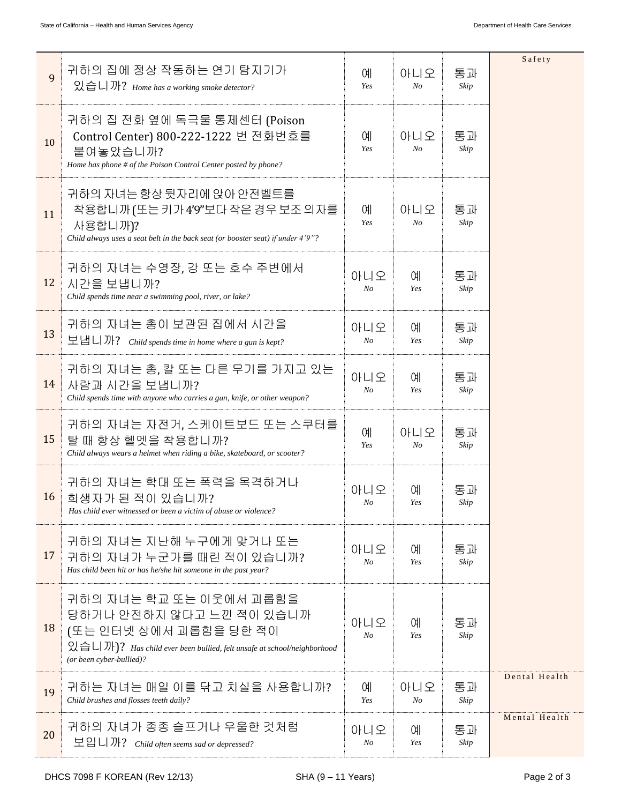| 9  | 귀하의 집에 정상 작동하는 연기 탐지기가<br>있습니까? Home has a working smoke detector?                                                                                                                                         | 예<br>Yes              | 아니오<br>N <sub>o</sub> | 통과<br>Skip | Safety        |
|----|------------------------------------------------------------------------------------------------------------------------------------------------------------------------------------------------------------|-----------------------|-----------------------|------------|---------------|
| 10 | 귀하의 집 전화 옆에 독극물 통제센터 (Poison<br>Control Center) 800-222-1222 번 전화번호를<br>붙여놓았습니까?<br>Home has phone # of the Poison Control Center posted by phone?                                                         | 예<br>Yes              | 아니오<br>$N_{O}$        | 통과<br>Skip |               |
| 11 | 귀하의 자녀는 항상 뒷자리에 앉아 안전벨트를<br>착용합니까 (또는 키가 4'9"보다 작은 경우 보조 의자를<br>사용합니까)?<br>Child always uses a seat belt in the back seat (or booster seat) if under 4'9"?                                                 | 예<br>Yes              | 아니오<br>$N_{O}$        | 통과<br>Skip |               |
| 12 | 귀하의 자녀는 수영장, 강 또는 호수 주변에서<br>시간을 보냅니까?<br>Child spends time near a swimming pool, river, or lake?                                                                                                          | 아니오<br>$N_{O}$        | СH<br>Yes             | 통과<br>Skip |               |
| 13 | 귀하의 자녀는 총이 보관된 집에서 시간을<br>보냅니까? Child spends time in home where a gun is kept?                                                                                                                             | 아니오<br>N <sub>O</sub> | СH<br>Yes             | 통과<br>Skip |               |
| 14 | 귀하의 자녀는 총, 칼 또는 다른 무기를 가지고 있는<br>사람과 시간을 보냅니까?<br>Child spends time with anyone who carries a gun, knife, or other weapon?                                                                                 | 아니오<br>N <sub>O</sub> | СH<br>Yes             | 통과<br>Skip |               |
| 15 | 귀하의 자녀는 자전거, 스케이트보드 또는 스쿠터를<br>탈 때 항상 헬멧을 착용합니까?<br>Child always wears a helmet when riding a bike, skateboard, or scooter?                                                                                | 예<br>Yes              | 아니오<br>$N_{O}$        | 통과<br>Skip |               |
| 16 | 귀하의 자녀는 학대 또는 폭력을 목격하거나<br>희생자가 된 적이 있습니까?<br>Has child ever witnessed or been a victim of abuse or violence?                                                                                              | 아니오<br>$N_{O}$        | 예<br>Yes              | 통과<br>Skip |               |
| 17 | 귀하의 자녀는 지난해 누구에게 맞거나 또는<br>귀하의 자녀가 누군가를 때린 적이 있습니까?<br>Has child been hit or has he/she hit someone in the past year?                                                                                      | 아니오<br>No             | 예<br>Yes              | 통과<br>Skip |               |
| 18 | 귀하의 자녀는 학교 또는 이웃에서 괴롭힘을<br>당하거나 안전하지 않다고 느낀 적이 있습니까<br>(또는 인터넷 상에서 괴롭힘을 당한 적이<br>$\mathfrak{A} \oplus \Box$ )? Has child ever been bullied, felt unsafe at school/neighborhood<br>(or been cyber-bullied)? | 아니오<br>No             | 예<br>Yes              | 통과<br>Skip |               |
| 19 | 귀하는 자녀는 매일 이를 닦고 치실을 사용합니까?<br>Child brushes and flosses teeth daily?                                                                                                                                      | 예<br>Yes              | 아니오<br>$N_{O}$        | 통과<br>Skip | Dental Health |
| 20 | 귀하의 자녀가 종종 슬프거나 우울한 것처럼<br>보입니까? Child often seems sad or depressed?                                                                                                                                       | 아니오<br>$N_{O}$        | 예<br>Yes              | 통과<br>Skip | Mental Health |